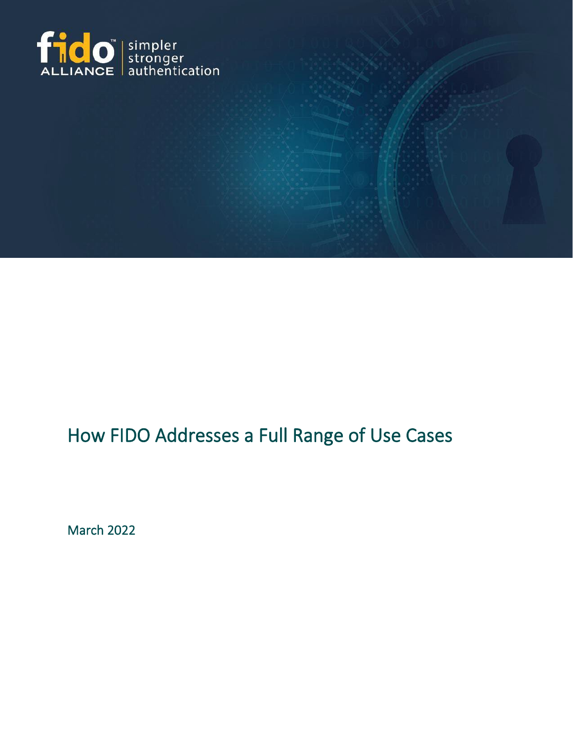

# How FIDO Addresses a Full Range of Use Cases

March 2022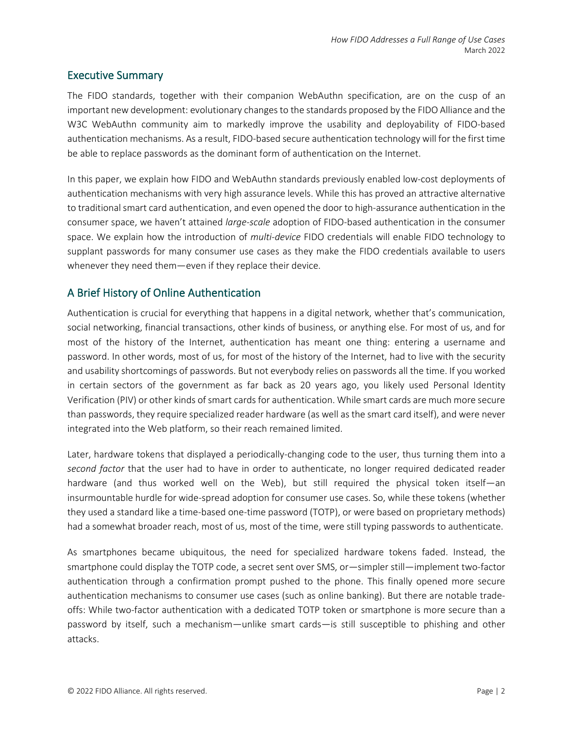#### Executive Summary

The FIDO standards, together with their companion WebAuthn specification, are on the cusp of an important new development: evolutionary changes to the standards proposed by the FIDO Alliance and the W3C WebAuthn community aim to markedly improve the usability and deployability of FIDO-based authentication mechanisms. As a result, FIDO-based secure authentication technology will for the first time be able to replace passwords as the dominant form of authentication on the Internet.

In this paper, we explain how FIDO and WebAuthn standards previously enabled low-cost deployments of authentication mechanisms with very high assurance levels. While this has proved an attractive alternative to traditional smart card authentication, and even opened the door to high-assurance authentication in the consumer space, we haven't attained *large-scale* adoption of FIDO-based authentication in the consumer space. We explain how the introduction of *multi-device* FIDO credentials will enable FIDO technology to supplant passwords for many consumer use cases as they make the FIDO credentials available to users whenever they need them—even if they replace their device.

## A Brief History of Online Authentication

Authentication is crucial for everything that happens in a digital network, whether that's communication, social networking, financial transactions, other kinds of business, or anything else. For most of us, and for most of the history of the Internet, authentication has meant one thing: entering a username and password. In other words, most of us, for most of the history of the Internet, had to live with the security and usability shortcomings of passwords. But not everybody relies on passwords all the time. If you worked in certain sectors of the government as far back as 20 years ago, you likely used Personal Identity Verification (PIV) or other kinds of smart cards for authentication. While smart cards are much more secure than passwords, they require specialized reader hardware (as well as the smart card itself), and were never integrated into the Web platform, so their reach remained limited.

Later, hardware tokens that displayed a periodically-changing code to the user, thus turning them into a *second factor* that the user had to have in order to authenticate, no longer required dedicated reader hardware (and thus worked well on the Web), but still required the physical token itself—an insurmountable hurdle for wide-spread adoption for consumer use cases. So, while these tokens (whether they used a standard like a time-based one-time password (TOTP), or were based on proprietary methods) had a somewhat broader reach, most of us, most of the time, were still typing passwords to authenticate.

As smartphones became ubiquitous, the need for specialized hardware tokens faded. Instead, the smartphone could display the TOTP code, a secret sent over SMS, or—simpler still—implement two-factor authentication through a confirmation prompt pushed to the phone. This finally opened more secure authentication mechanisms to consumer use cases (such as online banking). But there are notable tradeoffs: While two-factor authentication with a dedicated TOTP token or smartphone is more secure than a password by itself, such a mechanism—unlike smart cards—is still susceptible to phishing and other attacks.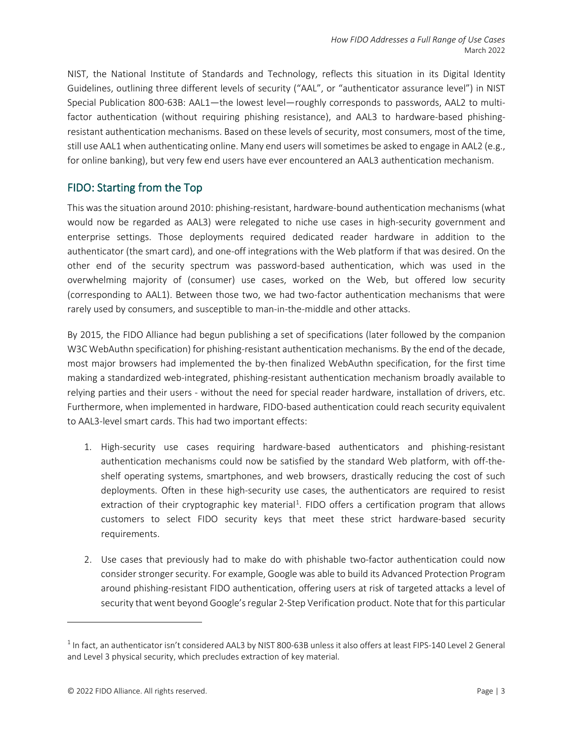NIST, the National Institute of Standards and Technology, reflects this situation in its Digital Identity Guidelines, outlining three different levels of security ("AAL", or "authenticator assurance level") in NIST Special Publication 800-63B: AAL1—the lowest level—roughly corresponds to passwords, AAL2 to multifactor authentication (without requiring phishing resistance), and AAL3 to hardware-based phishingresistant authentication mechanisms. Based on these levels of security, most consumers, most of the time, still use AAL1 when authenticating online. Many end users will sometimes be asked to engage in AAL2 (e.g., for online banking), but very few end users have ever encountered an AAL3 authentication mechanism.

### FIDO: Starting from the Top

This was the situation around 2010: phishing-resistant, hardware-bound authentication mechanisms (what would now be regarded as AAL3) were relegated to niche use cases in high-security government and enterprise settings. Those deployments required dedicated reader hardware in addition to the authenticator (the smart card), and one-off integrations with the Web platform if that was desired. On the other end of the security spectrum was password-based authentication, which was used in the overwhelming majority of (consumer) use cases, worked on the Web, but offered low security (corresponding to AAL1). Between those two, we had two-factor authentication mechanisms that were rarely used by consumers, and susceptible to man-in-the-middle and other attacks.

By 2015, the FIDO Alliance had begun publishing a set of specifications (later followed by the companion W3C WebAuthn specification) for phishing-resistant authentication mechanisms. By the end of the decade, most major browsers had implemented the by-then finalized WebAuthn specification, for the first time making a standardized web-integrated, phishing-resistant authentication mechanism broadly available to relying parties and their users - without the need for special reader hardware, installation of drivers, etc. Furthermore, when implemented in hardware, FIDO-based authentication could reach security equivalent to AAL3-level smart cards. This had two important effects:

- 1. High-security use cases requiring hardware-based authenticators and phishing-resistant authentication mechanisms could now be satisfied by the standard Web platform, with off-theshelf operating systems, smartphones, and web browsers, drastically reducing the cost of such deployments. Often in these high-security use cases, the authenticators are required to resist extraction of their cryptographic key material<sup>[1](#page-2-0)</sup>. FIDO offers a certification program that allows customers to select FIDO security keys that meet these strict hardware-based security requirements.
- 2. Use cases that previously had to make do with phishable two-factor authentication could now consider stronger security. For example, Google was able to build its Advanced Protection Program around phishing-resistant FIDO authentication, offering users at risk of targeted attacks a level of security that went beyond Google's regular 2-Step Verification product. Note that for this particular

<span id="page-2-0"></span> $1$  In fact, an authenticator isn't considered AAL3 by NIST 800-63B unless it also offers at least FIPS-140 Level 2 General and Level 3 physical security, which precludes extraction of key material.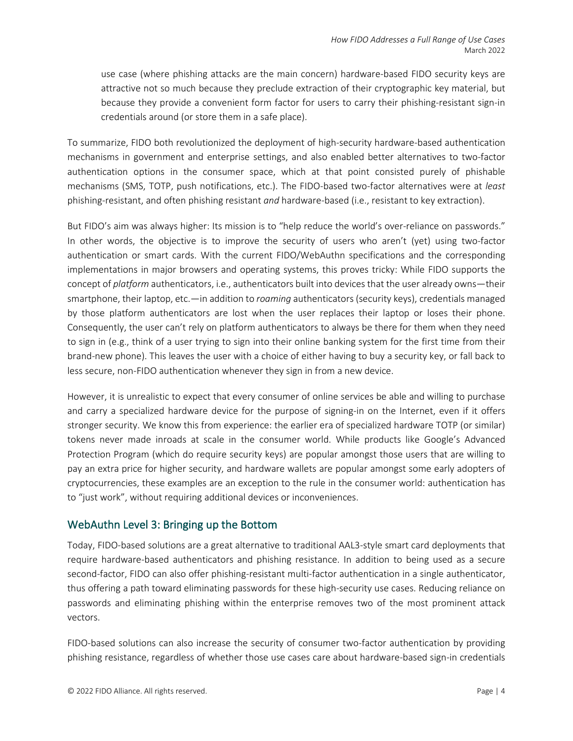use case (where phishing attacks are the main concern) hardware-based FIDO security keys are attractive not so much because they preclude extraction of their cryptographic key material, but because they provide a convenient form factor for users to carry their phishing-resistant sign-in credentials around (or store them in a safe place).

To summarize, FIDO both revolutionized the deployment of high-security hardware-based authentication mechanisms in government and enterprise settings, and also enabled better alternatives to two-factor authentication options in the consumer space, which at that point consisted purely of phishable mechanisms (SMS, TOTP, push notifications, etc.). The FIDO-based two-factor alternatives were at *least*  phishing-resistant, and often phishing resistant *and* hardware-based (i.e., resistant to key extraction).

But FIDO's aim was always higher: Its mission is to "help reduce the world's over-reliance on passwords." In other words, the objective is to improve the security of users who aren't (yet) using two-factor authentication or smart cards. With the current FIDO/WebAuthn specifications and the corresponding implementations in major browsers and operating systems, this proves tricky: While FIDO supports the concept of *platform* authenticators, i.e., authenticators built into devices that the user already owns—their smartphone, their laptop, etc.—in addition to *roaming* authenticators (security keys), credentials managed by those platform authenticators are lost when the user replaces their laptop or loses their phone. Consequently, the user can't rely on platform authenticators to always be there for them when they need to sign in (e.g., think of a user trying to sign into their online banking system for the first time from their brand-new phone). This leaves the user with a choice of either having to buy a security key, or fall back to less secure, non-FIDO authentication whenever they sign in from a new device.

However, it is unrealistic to expect that every consumer of online services be able and willing to purchase and carry a specialized hardware device for the purpose of signing-in on the Internet, even if it offers stronger security. We know this from experience: the earlier era of specialized hardware TOTP (or similar) tokens never made inroads at scale in the consumer world. While products like Google's Advanced Protection Program (which do require security keys) are popular amongst those users that are willing to pay an extra price for higher security, and hardware wallets are popular amongst some early adopters of cryptocurrencies, these examples are an exception to the rule in the consumer world: authentication has to "just work", without requiring additional devices or inconveniences.

## WebAuthn Level 3: Bringing up the Bottom

Today, FIDO-based solutions are a great alternative to traditional AAL3-style smart card deployments that require hardware-based authenticators and phishing resistance. In addition to being used as a secure second-factor, FIDO can also offer phishing-resistant multi-factor authentication in a single authenticator, thus offering a path toward eliminating passwords for these high-security use cases. Reducing reliance on passwords and eliminating phishing within the enterprise removes two of the most prominent attack vectors.

FIDO-based solutions can also increase the security of consumer two-factor authentication by providing phishing resistance, regardless of whether those use cases care about hardware-based sign-in credentials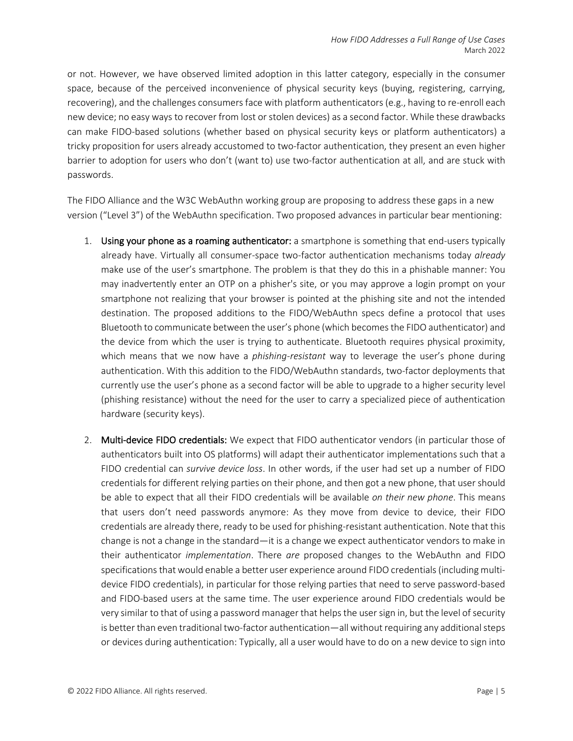or not. However, we have observed limited adoption in this latter category, especially in the consumer space, because of the perceived inconvenience of physical security keys (buying, registering, carrying, recovering), and the challenges consumers face with platform authenticators (e.g., having to re-enroll each new device; no easy ways to recover from lost or stolen devices) as a second factor. While these drawbacks can make FIDO-based solutions (whether based on physical security keys or platform authenticators) a tricky proposition for users already accustomed to two-factor authentication, they present an even higher barrier to adoption for users who don't (want to) use two-factor authentication at all, and are stuck with passwords.

The FIDO Alliance and the W3C WebAuthn working group are proposing to address these gaps in a new version ("Level 3") of the WebAuthn specification. Two proposed advances in particular bear mentioning:

- 1. Using your phone as a roaming authenticator: a smartphone is something that end-users typically already have. Virtually all consumer-space two-factor authentication mechanisms today *already* make use of the user's smartphone. The problem is that they do this in a phishable manner: You may inadvertently enter an OTP on a phisher's site, or you may approve a login prompt on your smartphone not realizing that your browser is pointed at the phishing site and not the intended destination. The proposed additions to the FIDO/WebAuthn specs define a protocol that uses Bluetooth to communicate between the user's phone (which becomes the FIDO authenticator) and the device from which the user is trying to authenticate. Bluetooth requires physical proximity, which means that we now have a *phishing-resistant* way to leverage the user's phone during authentication. With this addition to the FIDO/WebAuthn standards, two-factor deployments that currently use the user's phone as a second factor will be able to upgrade to a higher security level (phishing resistance) without the need for the user to carry a specialized piece of authentication hardware (security keys).
- 2. Multi-device FIDO credentials: We expect that FIDO authenticator vendors (in particular those of authenticators built into OS platforms) will adapt their authenticator implementations such that a FIDO credential can *survive device loss*. In other words, if the user had set up a number of FIDO credentials for different relying parties on their phone, and then got a new phone, that user should be able to expect that all their FIDO credentials will be available *on their new phone*. This means that users don't need passwords anymore: As they move from device to device, their FIDO credentials are already there, ready to be used for phishing-resistant authentication. Note that this change is not a change in the standard—it is a change we expect authenticator vendors to make in their authenticator *implementation*. There *are* proposed changes to the WebAuthn and FIDO specifications that would enable a better user experience around FIDO credentials (including multidevice FIDO credentials), in particular for those relying parties that need to serve password-based and FIDO-based users at the same time. The user experience around FIDO credentials would be very similar to that of using a password manager that helps the user sign in, but the level of security is better than even traditional two-factor authentication—all without requiring any additional steps or devices during authentication: Typically, all a user would have to do on a new device to sign into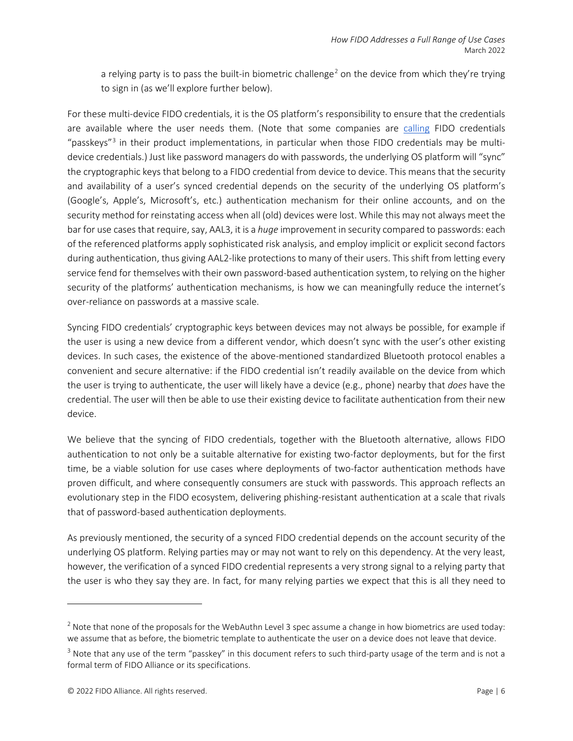a relying party is to pass the built-in biometric challenge<sup>[2](#page-5-0)</sup> on the device from which they're trying to sign in (as we'll explore further below).

For these multi-device FIDO credentials, it is the OS platform's responsibility to ensure that the credentials are available where the user needs them. (Note that some companies are [calling](https://developer.apple.com/videos/play/wwdc2021/10106/) FIDO credentials "passkeys"[3](#page-5-1) in their product implementations, in particular when those FIDO credentials may be multidevice credentials.) Just like password managers do with passwords, the underlying OS platform will "sync" the cryptographic keys that belong to a FIDO credential from device to device. This means that the security and availability of a user's synced credential depends on the security of the underlying OS platform's (Google's, Apple's, Microsoft's, etc.) authentication mechanism for their online accounts, and on the security method for reinstating access when all (old) devices were lost. While this may not always meet the bar for use cases that require, say, AAL3, it is a *huge* improvement in security compared to passwords: each of the referenced platforms apply sophisticated risk analysis, and employ implicit or explicit second factors during authentication, thus giving AAL2-like protections to many of their users. This shift from letting every service fend for themselves with their own password-based authentication system, to relying on the higher security of the platforms' authentication mechanisms, is how we can meaningfully reduce the internet's over-reliance on passwords at a massive scale.

Syncing FIDO credentials' cryptographic keys between devices may not always be possible, for example if the user is using a new device from a different vendor, which doesn't sync with the user's other existing devices. In such cases, the existence of the above-mentioned standardized Bluetooth protocol enables a convenient and secure alternative: if the FIDO credential isn't readily available on the device from which the user is trying to authenticate, the user will likely have a device (e.g., phone) nearby that *does* have the credential. The user will then be able to use their existing device to facilitate authentication from their new device.

We believe that the syncing of FIDO credentials, together with the Bluetooth alternative, allows FIDO authentication to not only be a suitable alternative for existing two-factor deployments, but for the first time, be a viable solution for use cases where deployments of two-factor authentication methods have proven difficult, and where consequently consumers are stuck with passwords. This approach reflects an evolutionary step in the FIDO ecosystem, delivering phishing-resistant authentication at a scale that rivals that of password-based authentication deployments.

As previously mentioned, the security of a synced FIDO credential depends on the account security of the underlying OS platform. Relying parties may or may not want to rely on this dependency. At the very least, however, the verification of a synced FIDO credential represents a very strong signal to a relying party that the user is who they say they are. In fact, for many relying parties we expect that this is all they need to

<span id="page-5-0"></span> $2$  Note that none of the proposals for the WebAuthn Level 3 spec assume a change in how biometrics are used today: we assume that as before, the biometric template to authenticate the user on a device does not leave that device.

<span id="page-5-1"></span><sup>&</sup>lt;sup>3</sup> Note that any use of the term "passkey" in this document refers to such third-party usage of the term and is not a formal term of FIDO Alliance or its specifications.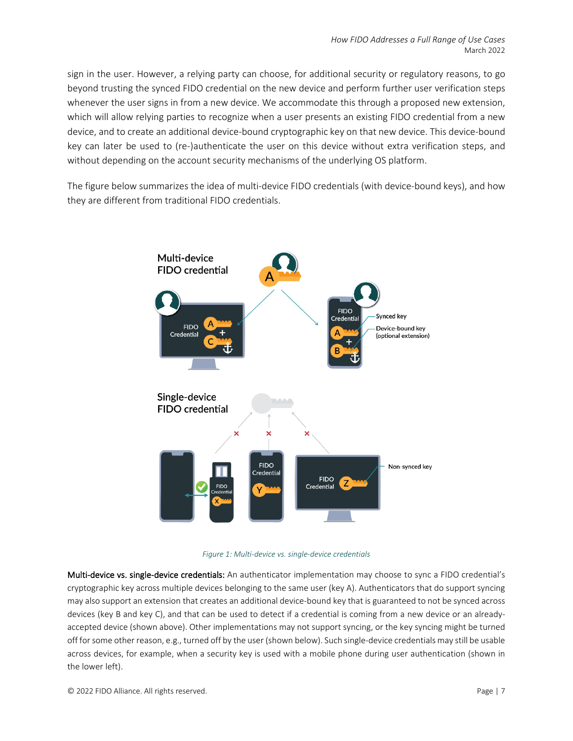sign in the user. However, a relying party can choose, for additional security or regulatory reasons, to go beyond trusting the synced FIDO credential on the new device and perform further user verification steps whenever the user signs in from a new device. We accommodate this through a proposed new extension, which will allow relying parties to recognize when a user presents an existing FIDO credential from a new device, and to create an additional device-bound cryptographic key on that new device. This device-bound key can later be used to (re-)authenticate the user on this device without extra verification steps, and without depending on the account security mechanisms of the underlying OS platform.

The figure below summarizes the idea of multi-device FIDO credentials (with device-bound keys), and how they are different from traditional FIDO credentials.





Multi-device vs. single-device credentials: An authenticator implementation may choose to sync a FIDO credential's cryptographic key across multiple devices belonging to the same user (key A). Authenticators that do support syncing may also support an extension that creates an additional device-bound key that is guaranteed to not be synced across devices (key B and key C), and that can be used to detect if a credential is coming from a new device or an alreadyaccepted device (shown above). Other implementations may not support syncing, or the key syncing might be turned off for some other reason, e.g., turned off by the user (shown below). Such single-device credentials may still be usable across devices, for example, when a security key is used with a mobile phone during user authentication (shown in the lower left).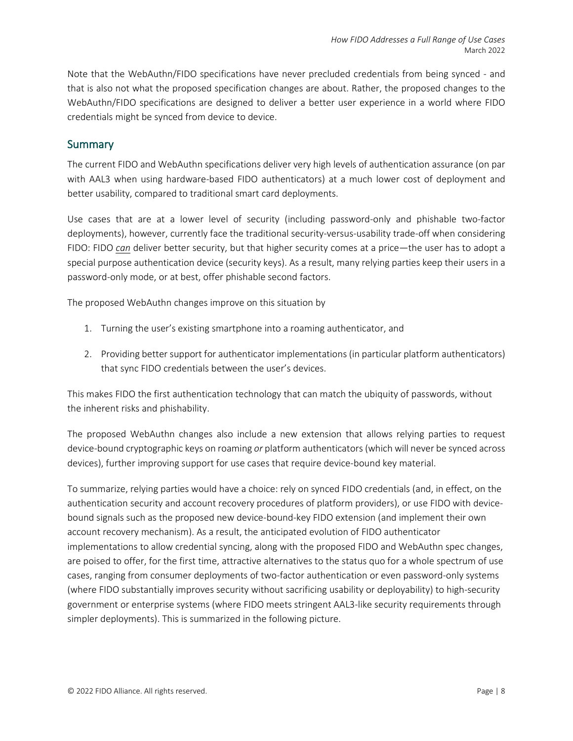Note that the WebAuthn/FIDO specifications have never precluded credentials from being synced - and that is also not what the proposed specification changes are about. Rather, the proposed changes to the WebAuthn/FIDO specifications are designed to deliver a better user experience in a world where FIDO credentials might be synced from device to device.

#### **Summary**

The current FIDO and WebAuthn specifications deliver very high levels of authentication assurance (on par with AAL3 when using hardware-based FIDO authenticators) at a much lower cost of deployment and better usability, compared to traditional smart card deployments.

Use cases that are at a lower level of security (including password-only and phishable two-factor deployments), however, currently face the traditional security-versus-usability trade-off when considering FIDO: FIDO *can* deliver better security, but that higher security comes at a price—the user has to adopt a special purpose authentication device (security keys). As a result, many relying parties keep their users in a password-only mode, or at best, offer phishable second factors.

The proposed WebAuthn changes improve on this situation by

- 1. Turning the user's existing smartphone into a roaming authenticator, and
- 2. Providing better support for authenticator implementations (in particular platform authenticators) that sync FIDO credentials between the user's devices.

This makes FIDO the first authentication technology that can match the ubiquity of passwords, without the inherent risks and phishability.

The proposed WebAuthn changes also include a new extension that allows relying parties to request device-bound cryptographic keys on roaming *or* platform authenticators (which will never be synced across devices), further improving support for use cases that require device-bound key material.

To summarize, relying parties would have a choice: rely on synced FIDO credentials (and, in effect, on the authentication security and account recovery procedures of platform providers), or use FIDO with devicebound signals such as the proposed new device-bound-key FIDO extension (and implement their own account recovery mechanism). As a result, the anticipated evolution of FIDO authenticator implementations to allow credential syncing, along with the proposed FIDO and WebAuthn spec changes, are poised to offer, for the first time, attractive alternatives to the status quo for a whole spectrum of use cases, ranging from consumer deployments of two-factor authentication or even password-only systems (where FIDO substantially improves security without sacrificing usability or deployability) to high-security government or enterprise systems (where FIDO meets stringent AAL3-like security requirements through simpler deployments). This is summarized in the following picture.